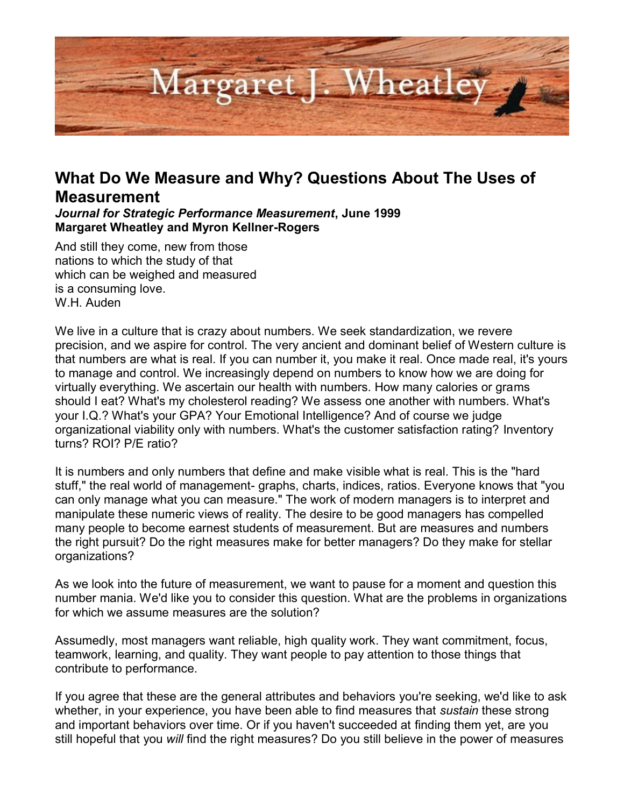

## **What Do We Measure and Why? Questions About The Uses of Measurement**

*Journal for Strategic Performance Measurement***, June 1999 Margaret Wheatley and Myron Kellner-Rogers** 

And still they come, new from those nations to which the study of that which can be weighed and measured is a consuming love. W.H. Auden

We live in a culture that is crazy about numbers. We seek standardization, we revere precision, and we aspire for control. The very ancient and dominant belief of Western culture is that numbers are what is real. If you can number it, you make it real. Once made real, it's yours to manage and control. We increasingly depend on numbers to know how we are doing for virtually everything. We ascertain our health with numbers. How many calories or grams should I eat? What's my cholesterol reading? We assess one another with numbers. What's your I.Q.? What's your GPA? Your Emotional Intelligence? And of course we judge organizational viability only with numbers. What's the customer satisfaction rating? Inventory turns? ROI? P/E ratio?

It is numbers and only numbers that define and make visible what is real. This is the "hard stuff," the real world of management- graphs, charts, indices, ratios. Everyone knows that "you can only manage what you can measure." The work of modern managers is to interpret and manipulate these numeric views of reality. The desire to be good managers has compelled many people to become earnest students of measurement. But are measures and numbers the right pursuit? Do the right measures make for better managers? Do they make for stellar organizations?

As we look into the future of measurement, we want to pause for a moment and question this number mania. We'd like you to consider this question. What are the problems in organizations for which we assume measures are the solution?

Assumedly, most managers want reliable, high quality work. They want commitment, focus, teamwork, learning, and quality. They want people to pay attention to those things that contribute to performance.

If you agree that these are the general attributes and behaviors you're seeking, we'd like to ask whether, in your experience, you have been able to find measures that *sustain* these strong and important behaviors over time. Or if you haven't succeeded at finding them yet, are you still hopeful that you *will* find the right measures? Do you still believe in the power of measures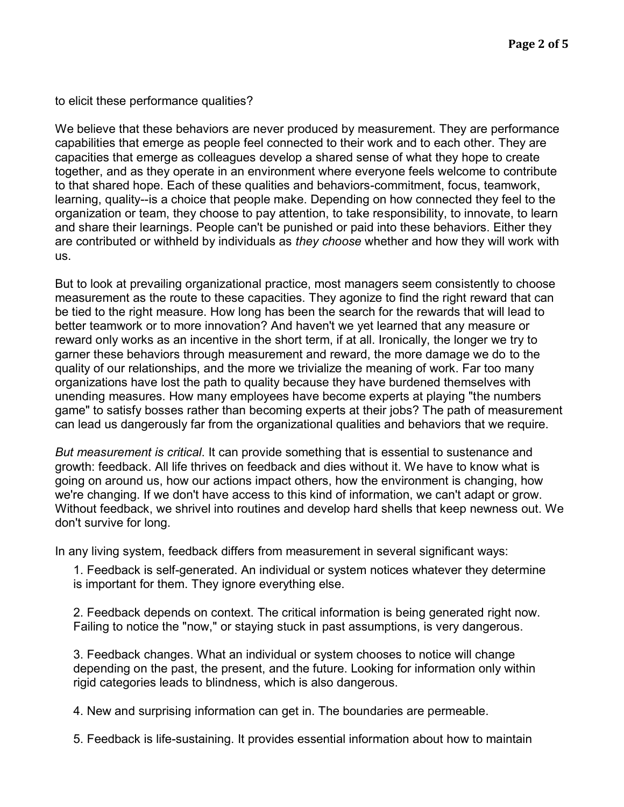to elicit these performance qualities?

We believe that these behaviors are never produced by measurement. They are performance capabilities that emerge as people feel connected to their work and to each other. They are capacities that emerge as colleagues develop a shared sense of what they hope to create together, and as they operate in an environment where everyone feels welcome to contribute to that shared hope. Each of these qualities and behaviors-commitment, focus, teamwork, learning, quality--is a choice that people make. Depending on how connected they feel to the organization or team, they choose to pay attention, to take responsibility, to innovate, to learn and share their learnings. People can't be punished or paid into these behaviors. Either they are contributed or withheld by individuals as *they choose* whether and how they will work with us.

But to look at prevailing organizational practice, most managers seem consistently to choose measurement as the route to these capacities. They agonize to find the right reward that can be tied to the right measure. How long has been the search for the rewards that will lead to better teamwork or to more innovation? And haven't we yet learned that any measure or reward only works as an incentive in the short term, if at all. Ironically, the longer we try to garner these behaviors through measurement and reward, the more damage we do to the quality of our relationships, and the more we trivialize the meaning of work. Far too many organizations have lost the path to quality because they have burdened themselves with unending measures. How many employees have become experts at playing "the numbers game" to satisfy bosses rather than becoming experts at their jobs? The path of measurement can lead us dangerously far from the organizational qualities and behaviors that we require.

*But measurement is critical*. It can provide something that is essential to sustenance and growth: feedback. All life thrives on feedback and dies without it. We have to know what is going on around us, how our actions impact others, how the environment is changing, how we're changing. If we don't have access to this kind of information, we can't adapt or grow. Without feedback, we shrivel into routines and develop hard shells that keep newness out. We don't survive for long.

In any living system, feedback differs from measurement in several significant ways:

1. Feedback is self-generated. An individual or system notices whatever they determine is important for them. They ignore everything else.

2. Feedback depends on context. The critical information is being generated right now. Failing to notice the "now," or staying stuck in past assumptions, is very dangerous.

3. Feedback changes. What an individual or system chooses to notice will change depending on the past, the present, and the future. Looking for information only within rigid categories leads to blindness, which is also dangerous.

4. New and surprising information can get in. The boundaries are permeable.

5. Feedback is life-sustaining. It provides essential information about how to maintain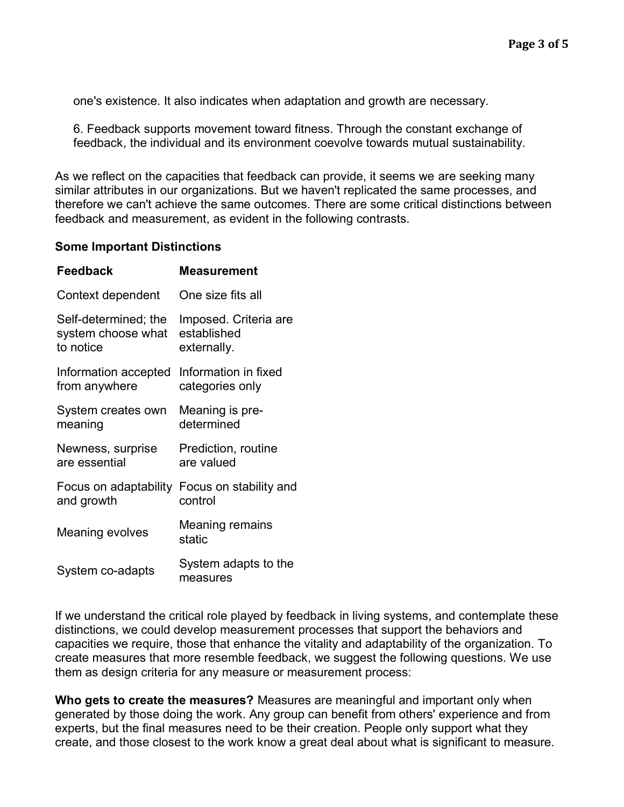one's existence. It also indicates when adaptation and growth are necessary.

6. Feedback supports movement toward fitness. Through the constant exchange of feedback, the individual and its environment coevolve towards mutual sustainability.

As we reflect on the capacities that feedback can provide, it seems we are seeking many similar attributes in our organizations. But we haven't replicated the same processes, and therefore we can't achieve the same outcomes. There are some critical distinctions between feedback and measurement, as evident in the following contrasts.

## **Some Important Distinctions**

| <b>Feedback</b>       | Measurement                      |
|-----------------------|----------------------------------|
| Context dependent     | One size fits all                |
| Self-determined; the  | Imposed. Criteria are            |
| system choose what    | established                      |
| to notice             | externally.                      |
| Information accepted  | Information in fixed             |
| from anywhere         | categories only                  |
| System creates own    | Meaning is pre-                  |
| meaning               | determined                       |
| Newness, surprise     | Prediction, routine              |
| are essential         | are valued                       |
| Focus on adaptability | Focus on stability and           |
| and growth            | control                          |
| Meaning evolves       | Meaning remains<br>static        |
| System co-adapts      | System adapts to the<br>measures |

If we understand the critical role played by feedback in living systems, and contemplate these distinctions, we could develop measurement processes that support the behaviors and capacities we require, those that enhance the vitality and adaptability of the organization. To create measures that more resemble feedback, we suggest the following questions. We use them as design criteria for any measure or measurement process:

**Who gets to create the measures?** Measures are meaningful and important only when generated by those doing the work. Any group can benefit from others' experience and from experts, but the final measures need to be their creation. People only support what they create, and those closest to the work know a great deal about what is significant to measure.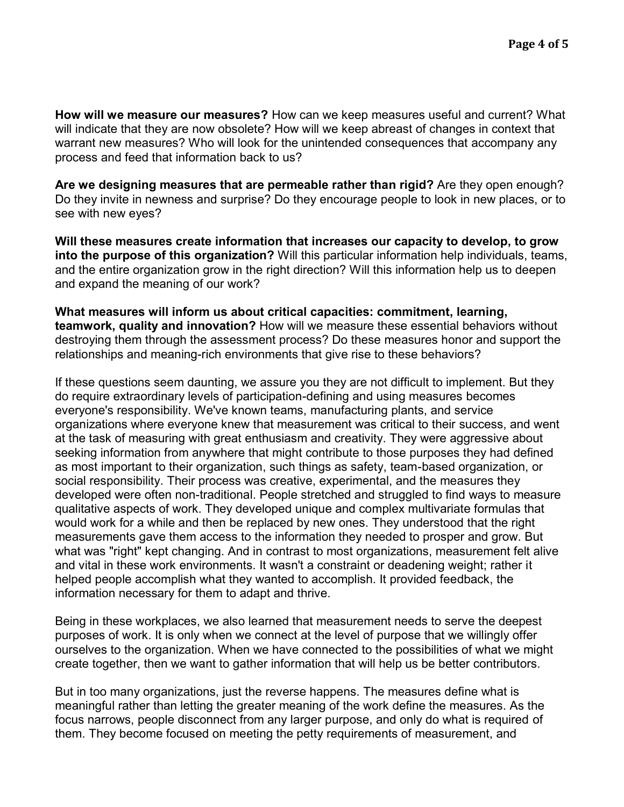**How will we measure our measures?** How can we keep measures useful and current? What will indicate that they are now obsolete? How will we keep abreast of changes in context that warrant new measures? Who will look for the unintended consequences that accompany any process and feed that information back to us?

**Are we designing measures that are permeable rather than rigid?** Are they open enough? Do they invite in newness and surprise? Do they encourage people to look in new places, or to see with new eyes?

**Will these measures create information that increases our capacity to develop, to grow into the purpose of this organization?** Will this particular information help individuals, teams, and the entire organization grow in the right direction? Will this information help us to deepen and expand the meaning of our work?

**What measures will inform us about critical capacities: commitment, learning, teamwork, quality and innovation?** How will we measure these essential behaviors without destroying them through the assessment process? Do these measures honor and support the relationships and meaning-rich environments that give rise to these behaviors?

If these questions seem daunting, we assure you they are not difficult to implement. But they do require extraordinary levels of participation-defining and using measures becomes everyone's responsibility. We've known teams, manufacturing plants, and service organizations where everyone knew that measurement was critical to their success, and went at the task of measuring with great enthusiasm and creativity. They were aggressive about seeking information from anywhere that might contribute to those purposes they had defined as most important to their organization, such things as safety, team-based organization, or social responsibility. Their process was creative, experimental, and the measures they developed were often non-traditional. People stretched and struggled to find ways to measure qualitative aspects of work. They developed unique and complex multivariate formulas that would work for a while and then be replaced by new ones. They understood that the right measurements gave them access to the information they needed to prosper and grow. But what was "right" kept changing. And in contrast to most organizations, measurement felt alive and vital in these work environments. It wasn't a constraint or deadening weight; rather it helped people accomplish what they wanted to accomplish. It provided feedback, the information necessary for them to adapt and thrive.

Being in these workplaces, we also learned that measurement needs to serve the deepest purposes of work. It is only when we connect at the level of purpose that we willingly offer ourselves to the organization. When we have connected to the possibilities of what we might create together, then we want to gather information that will help us be better contributors.

But in too many organizations, just the reverse happens. The measures define what is meaningful rather than letting the greater meaning of the work define the measures. As the focus narrows, people disconnect from any larger purpose, and only do what is required of them. They become focused on meeting the petty requirements of measurement, and